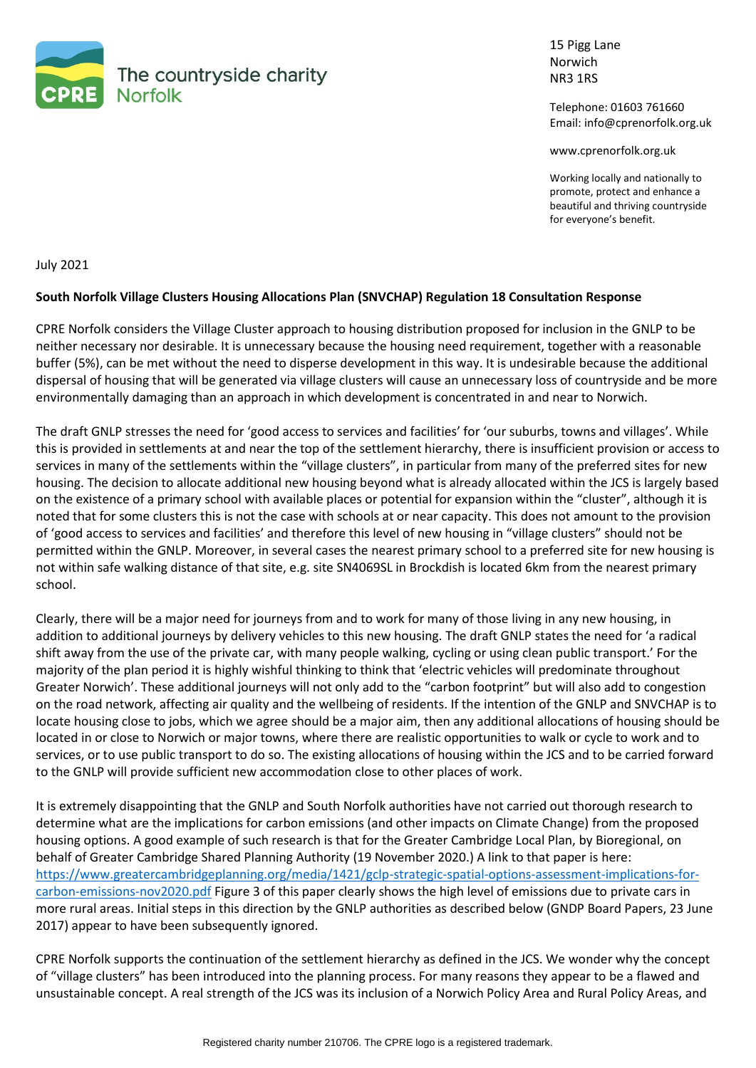

15 Pigg Lane Norwich NR3 1RS

Telephone: 01603 761660 Email: info@cprenorfolk.org.uk

www.cprenorfolk.org.uk

Working locally and nationally to promote, protect and enhance a beautiful and thriving countryside for everyone's benefit.

July 2021

### **South Norfolk Village Clusters Housing Allocations Plan (SNVCHAP) Regulation 18 Consultation Response**

CPRE Norfolk considers the Village Cluster approach to housing distribution proposed for inclusion in the GNLP to be neither necessary nor desirable. It is unnecessary because the housing need requirement, together with a reasonable buffer (5%), can be met without the need to disperse development in this way. It is undesirable because the additional dispersal of housing that will be generated via village clusters will cause an unnecessary loss of countryside and be more environmentally damaging than an approach in which development is concentrated in and near to Norwich.

The draft GNLP stresses the need for 'good access to services and facilities' for 'our suburbs, towns and villages'. While this is provided in settlements at and near the top of the settlement hierarchy, there is insufficient provision or access to services in many of the settlements within the "village clusters", in particular from many of the preferred sites for new housing. The decision to allocate additional new housing beyond what is already allocated within the JCS is largely based on the existence of a primary school with available places or potential for expansion within the "cluster", although it is noted that for some clusters this is not the case with schools at or near capacity. This does not amount to the provision of 'good access to services and facilities' and therefore this level of new housing in "village clusters" should not be permitted within the GNLP. Moreover, in several cases the nearest primary school to a preferred site for new housing is not within safe walking distance of that site, e.g. site SN4069SL in Brockdish is located 6km from the nearest primary school.

Clearly, there will be a major need for journeys from and to work for many of those living in any new housing, in addition to additional journeys by delivery vehicles to this new housing. The draft GNLP states the need for 'a radical shift away from the use of the private car, with many people walking, cycling or using clean public transport.' For the majority of the plan period it is highly wishful thinking to think that 'electric vehicles will predominate throughout Greater Norwich'. These additional journeys will not only add to the "carbon footprint" but will also add to congestion on the road network, affecting air quality and the wellbeing of residents. If the intention of the GNLP and SNVCHAP is to locate housing close to jobs, which we agree should be a major aim, then any additional allocations of housing should be located in or close to Norwich or major towns, where there are realistic opportunities to walk or cycle to work and to services, or to use public transport to do so. The existing allocations of housing within the JCS and to be carried forward to the GNLP will provide sufficient new accommodation close to other places of work.

It is extremely disappointing that the GNLP and South Norfolk authorities have not carried out thorough research to determine what are the implications for carbon emissions (and other impacts on Climate Change) from the proposed housing options. A good example of such research is that for the Greater Cambridge Local Plan, by Bioregional, on behalf of Greater Cambridge Shared Planning Authority (19 November 2020.) A link to that paper is here: [https://www.greatercambridgeplanning.org/media/1421/gclp-strategic-spatial-options-assessment-implications-for](https://www.greatercambridgeplanning.org/media/1421/gclp-strategic-spatial-options-assessment-implications-for-carbon-emissions-nov2020.pdf)[carbon-emissions-nov2020.pdf](https://www.greatercambridgeplanning.org/media/1421/gclp-strategic-spatial-options-assessment-implications-for-carbon-emissions-nov2020.pdf) Figure 3 of this paper clearly shows the high level of emissions due to private cars in more rural areas. Initial steps in this direction by the GNLP authorities as described below (GNDP Board Papers, 23 June 2017) appear to have been subsequently ignored.

CPRE Norfolk supports the continuation of the settlement hierarchy as defined in the JCS. We wonder why the concept of "village clusters" has been introduced into the planning process. For many reasons they appear to be a flawed and unsustainable concept. A real strength of the JCS was its inclusion of a Norwich Policy Area and Rural Policy Areas, and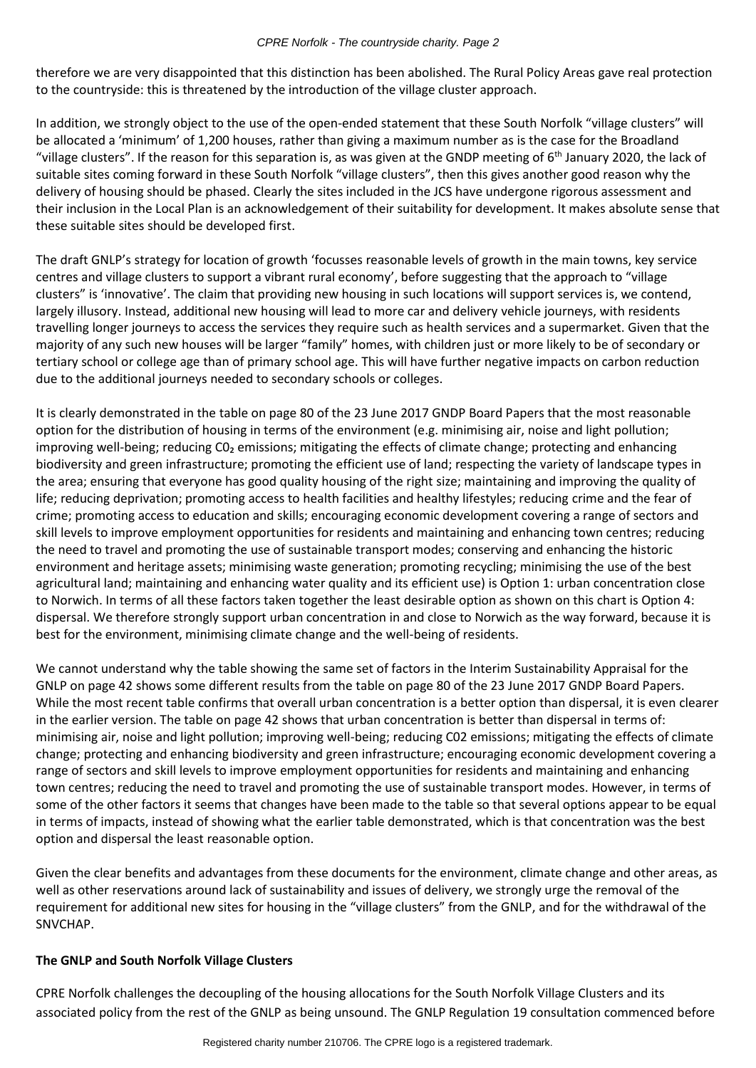#### *CPRE Norfolk - The countryside charity. Page 2*

therefore we are very disappointed that this distinction has been abolished. The Rural Policy Areas gave real protection to the countryside: this is threatened by the introduction of the village cluster approach.

In addition, we strongly object to the use of the open-ended statement that these South Norfolk "village clusters" will be allocated a 'minimum' of 1,200 houses, rather than giving a maximum number as is the case for the Broadland "village clusters". If the reason for this separation is, as was given at the GNDP meeting of 6<sup>th</sup> January 2020, the lack of suitable sites coming forward in these South Norfolk "village clusters", then this gives another good reason why the delivery of housing should be phased. Clearly the sites included in the JCS have undergone rigorous assessment and their inclusion in the Local Plan is an acknowledgement of their suitability for development. It makes absolute sense that these suitable sites should be developed first.

The draft GNLP's strategy for location of growth 'focusses reasonable levels of growth in the main towns, key service centres and village clusters to support a vibrant rural economy', before suggesting that the approach to "village clusters" is 'innovative'. The claim that providing new housing in such locations will support services is, we contend, largely illusory. Instead, additional new housing will lead to more car and delivery vehicle journeys, with residents travelling longer journeys to access the services they require such as health services and a supermarket. Given that the majority of any such new houses will be larger "family" homes, with children just or more likely to be of secondary or tertiary school or college age than of primary school age. This will have further negative impacts on carbon reduction due to the additional journeys needed to secondary schools or colleges.

It is clearly demonstrated in the table on page 80 of the 23 June 2017 GNDP Board Papers that the most reasonable option for the distribution of housing in terms of the environment (e.g. minimising air, noise and light pollution; improving well-being; reducing C0<sub>2</sub> emissions; mitigating the effects of climate change; protecting and enhancing biodiversity and green infrastructure; promoting the efficient use of land; respecting the variety of landscape types in the area; ensuring that everyone has good quality housing of the right size; maintaining and improving the quality of life; reducing deprivation; promoting access to health facilities and healthy lifestyles; reducing crime and the fear of crime; promoting access to education and skills; encouraging economic development covering a range of sectors and skill levels to improve employment opportunities for residents and maintaining and enhancing town centres; reducing the need to travel and promoting the use of sustainable transport modes; conserving and enhancing the historic environment and heritage assets; minimising waste generation; promoting recycling; minimising the use of the best agricultural land; maintaining and enhancing water quality and its efficient use) is Option 1: urban concentration close to Norwich. In terms of all these factors taken together the least desirable option as shown on this chart is Option 4: dispersal. We therefore strongly support urban concentration in and close to Norwich as the way forward, because it is best for the environment, minimising climate change and the well-being of residents.

We cannot understand why the table showing the same set of factors in the Interim Sustainability Appraisal for the GNLP on page 42 shows some different results from the table on page 80 of the 23 June 2017 GNDP Board Papers. While the most recent table confirms that overall urban concentration is a better option than dispersal, it is even clearer in the earlier version. The table on page 42 shows that urban concentration is better than dispersal in terms of: minimising air, noise and light pollution; improving well-being; reducing C02 emissions; mitigating the effects of climate change; protecting and enhancing biodiversity and green infrastructure; encouraging economic development covering a range of sectors and skill levels to improve employment opportunities for residents and maintaining and enhancing town centres; reducing the need to travel and promoting the use of sustainable transport modes. However, in terms of some of the other factors it seems that changes have been made to the table so that several options appear to be equal in terms of impacts, instead of showing what the earlier table demonstrated, which is that concentration was the best option and dispersal the least reasonable option.

Given the clear benefits and advantages from these documents for the environment, climate change and other areas, as well as other reservations around lack of sustainability and issues of delivery, we strongly urge the removal of the requirement for additional new sites for housing in the "village clusters" from the GNLP, and for the withdrawal of the SNVCHAP.

## **The GNLP and South Norfolk Village Clusters**

CPRE Norfolk challenges the decoupling of the housing allocations for the South Norfolk Village Clusters and its associated policy from the rest of the GNLP as being unsound. The GNLP Regulation 19 consultation commenced before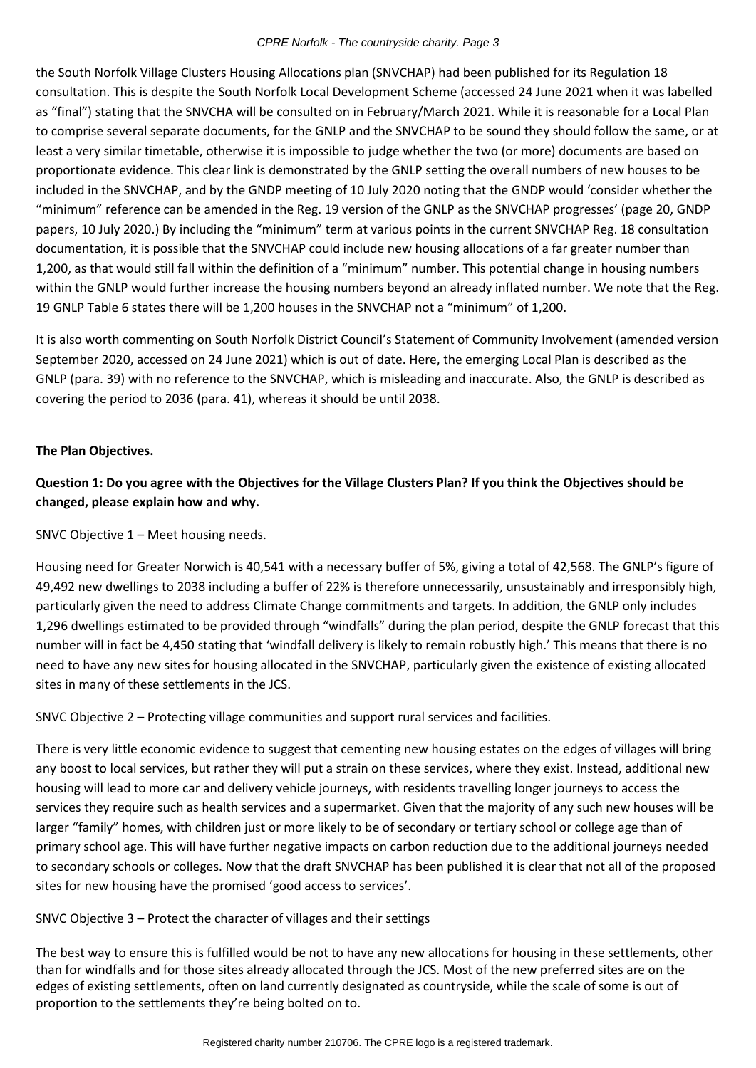#### *CPRE Norfolk - The countryside charity. Page 3*

the South Norfolk Village Clusters Housing Allocations plan (SNVCHAP) had been published for its Regulation 18 consultation. This is despite the South Norfolk Local Development Scheme (accessed 24 June 2021 when it was labelled as "final") stating that the SNVCHA will be consulted on in February/March 2021. While it is reasonable for a Local Plan to comprise several separate documents, for the GNLP and the SNVCHAP to be sound they should follow the same, or at least a very similar timetable, otherwise it is impossible to judge whether the two (or more) documents are based on proportionate evidence. This clear link is demonstrated by the GNLP setting the overall numbers of new houses to be included in the SNVCHAP, and by the GNDP meeting of 10 July 2020 noting that the GNDP would 'consider whether the "minimum" reference can be amended in the Reg. 19 version of the GNLP as the SNVCHAP progresses' (page 20, GNDP papers, 10 July 2020.) By including the "minimum" term at various points in the current SNVCHAP Reg. 18 consultation documentation, it is possible that the SNVCHAP could include new housing allocations of a far greater number than 1,200, as that would still fall within the definition of a "minimum" number. This potential change in housing numbers within the GNLP would further increase the housing numbers beyond an already inflated number. We note that the Reg. 19 GNLP Table 6 states there will be 1,200 houses in the SNVCHAP not a "minimum" of 1,200.

It is also worth commenting on South Norfolk District Council's Statement of Community Involvement (amended version September 2020, accessed on 24 June 2021) which is out of date. Here, the emerging Local Plan is described as the GNLP (para. 39) with no reference to the SNVCHAP, which is misleading and inaccurate. Also, the GNLP is described as covering the period to 2036 (para. 41), whereas it should be until 2038.

### **The Plan Objectives.**

**Question 1: Do you agree with the Objectives for the Village Clusters Plan? If you think the Objectives should be changed, please explain how and why.**

SNVC Objective 1 – Meet housing needs.

Housing need for Greater Norwich is 40,541 with a necessary buffer of 5%, giving a total of 42,568. The GNLP's figure of 49,492 new dwellings to 2038 including a buffer of 22% is therefore unnecessarily, unsustainably and irresponsibly high, particularly given the need to address Climate Change commitments and targets. In addition, the GNLP only includes 1,296 dwellings estimated to be provided through "windfalls" during the plan period, despite the GNLP forecast that this number will in fact be 4,450 stating that 'windfall delivery is likely to remain robustly high.' This means that there is no need to have any new sites for housing allocated in the SNVCHAP, particularly given the existence of existing allocated sites in many of these settlements in the JCS.

SNVC Objective 2 – Protecting village communities and support rural services and facilities.

There is very little economic evidence to suggest that cementing new housing estates on the edges of villages will bring any boost to local services, but rather they will put a strain on these services, where they exist. Instead, additional new housing will lead to more car and delivery vehicle journeys, with residents travelling longer journeys to access the services they require such as health services and a supermarket. Given that the majority of any such new houses will be larger "family" homes, with children just or more likely to be of secondary or tertiary school or college age than of primary school age. This will have further negative impacts on carbon reduction due to the additional journeys needed to secondary schools or colleges. Now that the draft SNVCHAP has been published it is clear that not all of the proposed sites for new housing have the promised 'good access to services'.

SNVC Objective 3 – Protect the character of villages and their settings

The best way to ensure this is fulfilled would be not to have any new allocations for housing in these settlements, other than for windfalls and for those sites already allocated through the JCS. Most of the new preferred sites are on the edges of existing settlements, often on land currently designated as countryside, while the scale of some is out of proportion to the settlements they're being bolted on to.